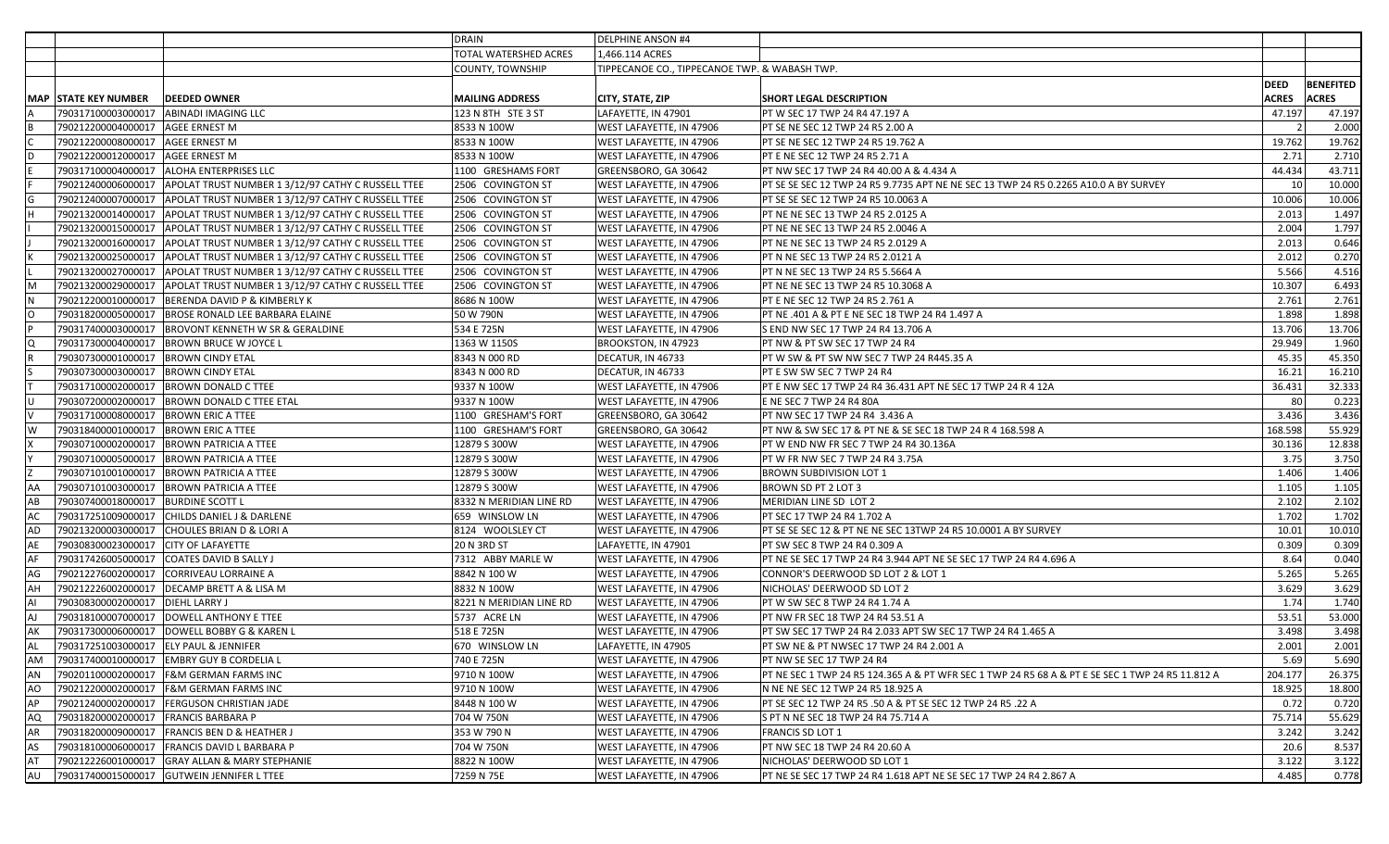|           |                                        |                                                                         | <b>DRAIN</b>            | <b>DELPHINE ANSON #4</b>                      |                                                                                                  |              |              |                  |
|-----------|----------------------------------------|-------------------------------------------------------------------------|-------------------------|-----------------------------------------------|--------------------------------------------------------------------------------------------------|--------------|--------------|------------------|
|           |                                        |                                                                         | TOTAL WATERSHED ACRES   | 1,466.114 ACRES                               |                                                                                                  |              |              |                  |
|           |                                        |                                                                         | <b>COUNTY, TOWNSHIP</b> | TIPPECANOE CO., TIPPECANOE TWP. & WABASH TWP. |                                                                                                  |              |              |                  |
|           |                                        |                                                                         |                         |                                               |                                                                                                  | <b>DEED</b>  |              | <b>BENEFITED</b> |
|           | <b>MAP STATE KEY NUMBER</b>            | <b>DEEDED OWNER</b>                                                     | <b>MAILING ADDRESS</b>  | CITY, STATE, ZIP                              | <b>SHORT LEGAL DESCRIPTION</b>                                                                   | <b>ACRES</b> | <b>ACRES</b> |                  |
|           |                                        | 790317100003000017   ABINADI IMAGING LLC                                | 123 N 8TH STE 3 ST      | LAFAYETTE, IN 47901                           | PT W SEC 17 TWP 24 R4 47.197 A                                                                   | 47.197       |              | 47.197           |
|           | 790212200004000017   AGEE ERNEST M     |                                                                         | 8533 N 100W             | <b>WEST LAFAYETTE, IN 47906</b>               | PT SE NE SEC 12 TWP 24 R5 2.00 A                                                                 |              |              | 2.000            |
|           | 790212200008000017 AGEE ERNEST M       |                                                                         | 8533 N 100W             | WEST LAFAYETTE, IN 47906                      | PT SE NE SEC 12 TWP 24 R5 19.762 A                                                               | 19.762       |              | 19.762           |
| D         | 790212200012000017   AGEE ERNEST M     |                                                                         | 8533 N 100W             | WEST LAFAYETTE, IN 47906                      | PT E NE SEC 12 TWP 24 R5 2.71 A                                                                  | 2.71         |              | 2.710            |
|           |                                        | 790317100004000017 ALOHA ENTERPRISES LLC                                | 1100 GRESHAMS FORT      | GREENSBORO, GA 30642                          | PT NW SEC 17 TWP 24 R4 40.00 A & 4.434 A                                                         | 44.434       |              | 43.711           |
|           |                                        | 790212400006000017 APOLAT TRUST NUMBER 1 3/12/97 CATHY C RUSSELL TTEE   | 2506 COVINGTON ST       | <b>WEST LAFAYETTE, IN 47906</b>               | PT SE SE SEC 12 TWP 24 R5 9.7735 APT NE NE SEC 13 TWP 24 R5 0.2265 A10.0 A BY SURVEY             | 10           |              | 10.000           |
|           |                                        | 790212400007000017   APOLAT TRUST NUMBER 1 3/12/97 CATHY C RUSSELL TTEE | 2506 COVINGTON ST       | WEST LAFAYETTE, IN 47906                      | PT SE SE SEC 12 TWP 24 R5 10.0063 A                                                              | 10.006       |              | 10.006           |
|           |                                        | 790213200014000017   APOLAT TRUST NUMBER 1 3/12/97 CATHY C RUSSELL TTEE | 2506 COVINGTON ST       | WEST LAFAYETTE, IN 47906                      | PT NE NE SEC 13 TWP 24 R5 2.0125 A                                                               | 2.013        |              | 1.497            |
|           |                                        | 790213200015000017   APOLAT TRUST NUMBER 1 3/12/97 CATHY C RUSSELL TTEE | 2506 COVINGTON ST       | <b>WEST LAFAYETTE, IN 47906</b>               | PT NE NE SEC 13 TWP 24 R5 2.0046 A                                                               | 2.004        |              | 1.797            |
|           |                                        | 790213200016000017   APOLAT TRUST NUMBER 1 3/12/97 CATHY C RUSSELL TTEE | 2506 COVINGTON ST       | WEST LAFAYETTE, IN 47906                      | PT NE NE SEC 13 TWP 24 R5 2.0129 A                                                               | 2.013        |              | 0.646            |
|           |                                        |                                                                         | 2506 COVINGTON ST       | WEST LAFAYETTE, IN 47906                      | PT N NE SEC 13 TWP 24 R5 2.0121 A                                                                | 2.012        |              | 0.270            |
|           |                                        | 790213200027000017   APOLAT TRUST NUMBER 1 3/12/97 CATHY C RUSSELL TTEE | 2506 COVINGTON ST       | WEST LAFAYETTE, IN 47906                      | PT N NE SEC 13 TWP 24 R5 5.5664 A                                                                | 5.566        |              | 4.516            |
| M         |                                        | 790213200029000017   APOLAT TRUST NUMBER 1 3/12/97 CATHY C RUSSELL TTEE | 2506 COVINGTON ST       | <b>WEST LAFAYETTE, IN 47906</b>               | PT NE NE SEC 13 TWP 24 R5 10.3068 A                                                              | 10.307       |              | 6.493            |
| <b>N</b>  |                                        | 790212200010000017   BERENDA DAVID P & KIMBERLY K                       | 8686 N 100W             | WEST LAFAYETTE, IN 47906                      | PT E NE SEC 12 TWP 24 R5 2.761 A                                                                 | 2.761        |              | 2.761            |
| Iо        |                                        | 790318200005000017   BROSE RONALD LEE BARBARA ELAINE                    | 50 W 790N               | WEST LAFAYETTE, IN 47906                      | PT NE .401 A & PT E NE SEC 18 TWP 24 R4 1.497 A                                                  | 1.898        |              | 1.898            |
|           |                                        | 790317400003000017   BROVONT KENNETH W SR & GERALDINE                   | 534 E 725N              | WEST LAFAYETTE, IN 47906                      | S END NW SEC 17 TWP 24 R4 13.706 A                                                               | 13.706       |              | 13.706           |
| O         |                                        | 790317300004000017   BROWN BRUCE W JOYCE L                              | 1363 W 1150S            | BROOKSTON, IN 47923                           | PT NW & PT SW SEC 17 TWP 24 R4                                                                   | 29.949       |              | 1.960            |
|           | 790307300001000017   BROWN CINDY ETAL  |                                                                         | 8343 N 000 RD           | DECATUR, IN 46733                             | PT W SW & PT SW NW SEC 7 TWP 24 R445.35 A                                                        | 45.35        |              | 45.350           |
|           | 790307300003000017 BROWN CINDY ETAL    |                                                                         | 8343 N 000 RD           | DECATUR, IN 46733                             | PT E SW SW SEC 7 TWP 24 R4                                                                       | 16.21        |              | 16.210           |
|           |                                        | 790317100002000017  BROWN DONALD C TTEE                                 | 9337 N 100W             | WEST LAFAYETTE, IN 47906                      | PT E NW SEC 17 TWP 24 R4 36.431 APT NE SEC 17 TWP 24 R 4 12A                                     | 36.431       |              | 32.333           |
| U         |                                        | 790307200002000017  BROWN DONALD C TTEE ETAL                            | 9337 N 100W             | <b>WEST LAFAYETTE, IN 47906</b>               | E NE SEC 7 TWP 24 R4 80A                                                                         | 80           |              | 0.223            |
|           | 790317100008000017   BROWN ERIC A TTEE |                                                                         | 1100 GRESHAM'S FORT     | GREENSBORO, GA 30642                          | PT NW SEC 17 TWP 24 R4 3.436 A                                                                   | 3.436        |              | 3.436            |
| W         | 790318400001000017   BROWN ERIC A TTEE |                                                                         | 1100 GRESHAM'S FORT     | GREENSBORO, GA 30642                          | PT NW & SW SEC 17 & PT NE & SE SEC 18 TWP 24 R 4 168.598 A                                       | 168.598      |              | 55.929           |
|           |                                        | 790307100002000017   BROWN PATRICIA A TTEE                              | 12879 S 300W            | WEST LAFAYETTE, IN 47906                      | PT W END NW FR SEC 7 TWP 24 R4 30.136A                                                           | 30.136       |              | 12.838           |
|           |                                        | 790307100005000017   BROWN PATRICIA A TTEE                              | 12879 S 300W            | <b>WEST LAFAYETTE, IN 47906</b>               | PT W FR NW SEC 7 TWP 24 R4 3.75A                                                                 | 3.75         |              | 3.750            |
|           |                                        | 790307101001000017   BROWN PATRICIA A TTEE                              | 12879 S 300W            | WEST LAFAYETTE, IN 47906                      | BROWN SUBDIVISION LOT 1                                                                          | 1.406        |              | 1.406            |
| AA        |                                        | 790307101003000017   BROWN PATRICIA A TTEE                              | 12879 S 300W            | WEST LAFAYETTE, IN 47906                      | BROWN SD PT 2 LOT 3                                                                              | 1.105        |              | 1.105            |
| AB        | 790307400018000017  BURDINE SCOTT L    |                                                                         | 8332 N MERIDIAN LINE RD | <b>WEST LAFAYETTE, IN 47906</b>               | MERIDIAN LINE SD LOT 2                                                                           | 2.102        |              | 2.102            |
| AC        |                                        | 790317251009000017 CHILDS DANIEL J & DARLENE                            | 659 WINSLOW LN          | WEST LAFAYETTE, IN 47906                      | PT SEC 17 TWP 24 R4 1.702 A                                                                      | 1.702        |              | 1.702            |
| AD        |                                        | 790213200003000017 CHOULES BRIAN D & LORI A                             | 8124 WOOLSLEY CT        | WEST LAFAYETTE, IN 47906                      | PT SE SE SEC 12 & PT NE NE SEC 13TWP 24 R5 10.0001 A BY SURVEY                                   | 10.01        |              | 10.010           |
| AE        | 790308300023000017 CITY OF LAFAYETTE   |                                                                         | 20 N 3RD ST             | LAFAYETTE, IN 47901                           | PT SW SEC 8 TWP 24 R4 0.309 A                                                                    | 0.309        |              | 0.309            |
| AF        |                                        | 790317426005000017 COATES DAVID B SALLY J                               | 7312 ABBY MARLE W       | WEST LAFAYETTE, IN 47906                      | PT NE SE SEC 17 TWP 24 R4 3.944 APT NE SE SEC 17 TWP 24 R4 4.696 A                               | 8.64         |              | 0.040            |
| AG        |                                        | 790212276002000017 CORRIVEAU LORRAINE A                                 | 8842 N 100 W            | WEST LAFAYETTE, IN 47906                      | CONNOR'S DEERWOOD SD LOT 2 & LOT 1                                                               | 5.265        |              | 5.265            |
| AH        |                                        | 790212226002000017   DECAMP BRETT A & LISA M                            | 8832 N 100W             | WEST LAFAYETTE, IN 47906                      | NICHOLAS' DEERWOOD SD LOT 2                                                                      | 3.629        |              | 3.629            |
| AI        | 790308300002000017   DIEHL LARRY J     |                                                                         | 8221 N MERIDIAN LINE RD | <b>WEST LAFAYETTE, IN 47906</b>               | PT W SW SEC 8 TWP 24 R4 1.74 A                                                                   | 1.74         |              | 1.740            |
| AJ        |                                        |                                                                         | 5737 ACRE LN            | WEST LAFAYETTE, IN 47906                      | PT NW FR SEC 18 TWP 24 R4 53.51 A                                                                | 53.51        |              | 53.000           |
| AK        |                                        | 790317300006000017 DOWELL BOBBY G & KAREN L                             | 518 E 725N              | WEST LAFAYETTE, IN 47906                      | PT SW SEC 17 TWP 24 R4 2.033 APT SW SEC 17 TWP 24 R4 1.465 A                                     | 3.498        |              | 3.498            |
| <b>AL</b> | 790317251003000017 ELY PAUL & JENNIFER |                                                                         | 670 WINSLOW LN          | LAFAYETTE, IN 47905                           | PT SW NE & PT NWSEC 17 TWP 24 R4 2.001 A                                                         | 2.001        |              | 2.001            |
| AM        |                                        | 790317400010000017   EMBRY GUY B CORDELIA L                             | 740 E 725N              | WEST LAFAYETTE, IN 47906                      | PT NW SE SEC 17 TWP 24 R4                                                                        | 5.69         |              | 5.690            |
| AN        |                                        | 790201100002000017 F&M GERMAN FARMS INC                                 | 9710 N 100W             | WEST LAFAYETTE, IN 47906                      | PT NE SEC 1 TWP 24 R5 124.365 A & PT WFR SEC 1 TWP 24 R5 68 A & PT E SE SEC 1 TWP 24 R5 11.812 A | 204.177      |              | 26.375           |
| AO        |                                        | 790212200002000017 F&M GERMAN FARMS INC                                 | 9710 N 100W             | WEST LAFAYETTE, IN 47906                      | N NE NE SEC 12 TWP 24 R5 18.925 A                                                                | 18.925       |              | 18.800           |
| AP        |                                        | 790212400002000017   FERGUSON CHRISTIAN JADE                            | 8448 N 100 W            | WEST LAFAYETTE, IN 47906                      | PT SE SEC 12 TWP 24 R5 .50 A & PT SE SEC 12 TWP 24 R5 .22 A                                      | 0.72         |              | 0.720            |
| AQ        | 790318200002000017   FRANCIS BARBARA P |                                                                         | 704 W 750N              | WEST LAFAYETTE, IN 47906                      | S PT N NE SEC 18 TWP 24 R4 75.714 A                                                              | 75.714       |              | 55.629           |
| AR        |                                        | 790318200009000017   FRANCIS BEN D & HEATHER J                          | 353 W 790 N             | WEST LAFAYETTE, IN 47906                      | FRANCIS SD LOT 1                                                                                 | 3.242        |              | 3.242            |
| AS        |                                        | 790318100006000017   FRANCIS DAVID L BARBARA P                          | 704 W 750N              | WEST LAFAYETTE, IN 47906                      | PT NW SEC 18 TWP 24 R4 20.60 A                                                                   | 20.6         |              | 8.537            |
| AT        |                                        | 790212226001000017 GRAY ALLAN & MARY STEPHANIE                          | 8822 N 100W             | WEST LAFAYETTE, IN 47906                      | NICHOLAS' DEERWOOD SD LOT 1                                                                      | 3.122        |              | 3.122            |
| AU        |                                        | 790317400015000017 GUTWEIN JENNIFER L TTEE                              | 7259 N 75E              | WEST LAFAYETTE, IN 47906                      | PT NE SE SEC 17 TWP 24 R4 1.618 APT NE SE SEC 17 TWP 24 R4 2.867 A                               | 4.485        |              | 0.778            |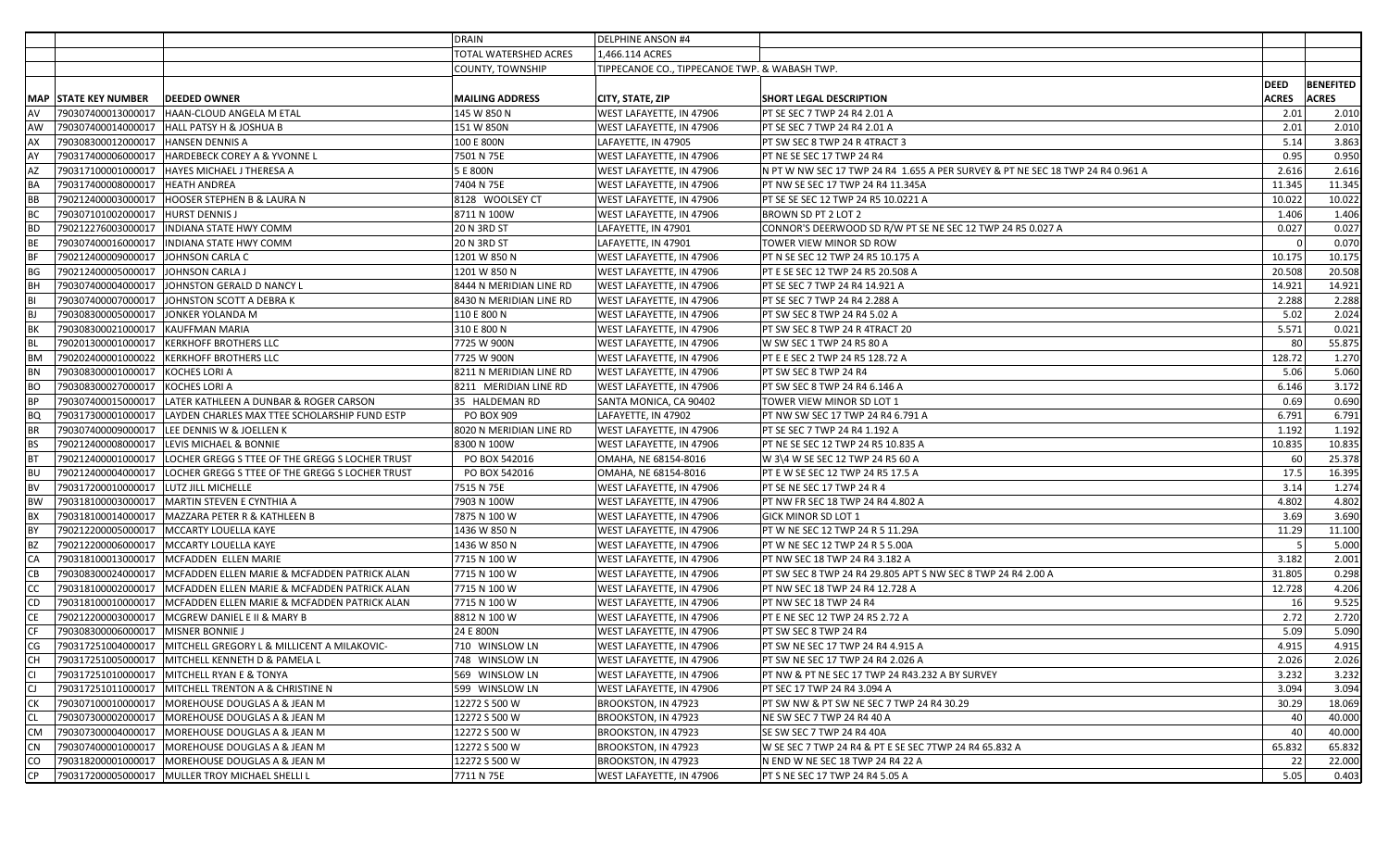|             |                                         |                                                                      | DRAIN                   | <b>DELPHINE ANSON #4</b>                      |                                                                                |              |                  |
|-------------|-----------------------------------------|----------------------------------------------------------------------|-------------------------|-----------------------------------------------|--------------------------------------------------------------------------------|--------------|------------------|
|             |                                         |                                                                      | TOTAL WATERSHED ACRES   | 1,466.114 ACRES                               |                                                                                |              |                  |
|             |                                         |                                                                      | <b>COUNTY, TOWNSHIP</b> | TIPPECANOE CO., TIPPECANOE TWP. & WABASH TWP. |                                                                                |              |                  |
|             |                                         |                                                                      |                         |                                               |                                                                                | <b>DEED</b>  | <b>BENEFITED</b> |
|             | <b>MAP STATE KEY NUMBER</b>             | <b>DEEDED OWNER</b>                                                  | <b>MAILING ADDRESS</b>  | CITY, STATE, ZIP                              | SHORT LEGAL DESCRIPTION                                                        | <b>ACRES</b> | <b>ACRES</b>     |
| AV          |                                         | 790307400013000017 HAAN-CLOUD ANGELA M ETAL                          | 145 W 850 N             | WEST LAFAYETTE, IN 47906                      | <b>PT SE SEC 7 TWP 24 R4 2.01 A</b>                                            | 2.01         | 2.010            |
| <b>AW</b>   |                                         | 790307400014000017 HALL PATSY H & JOSHUA B                           | 151 W 850N              | WEST LAFAYETTE, IN 47906                      | PT SE SEC 7 TWP 24 R4 2.01 A                                                   | 2.01         | 2.010            |
| AX          | 790308300012000017   HANSEN DENNIS A    |                                                                      | 100 E 800N              | LAFAYETTE, IN 47905                           | PT SW SEC 8 TWP 24 R 4TRACT 3                                                  | 5.14         | 3.863            |
| <b>AY</b>   |                                         | 790317400006000017 HARDEBECK COREY A & YVONNE L                      | 7501 N 75E              | WEST LAFAYETTE, IN 47906                      | PT NE SE SEC 17 TWP 24 R4                                                      | 0.95         | 0.950            |
| AZ          |                                         | 790317100001000017   HAYES MICHAEL J THERESA A                       | 5 E 800N                | WEST LAFAYETTE, IN 47906                      | N PT W NW SEC 17 TWP 24 R4 1.655 A PER SURVEY & PT NE SEC 18 TWP 24 R4 0.961 A | 2.616        | 2.616            |
| <b>BA</b>   | 790317400008000017 HEATH ANDREA         |                                                                      | 7404 N 75E              | <b>WEST LAFAYETTE, IN 47906</b>               | PT NW SE SEC 17 TWP 24 R4 11.345A                                              | 11.345       | 11.345           |
| <b>BB</b>   |                                         | 790212400003000017   HOOSER STEPHEN B & LAURA N                      | 8128 WOOLSEY CT         | WEST LAFAYETTE, IN 47906                      | PT SE SE SEC 12 TWP 24 R5 10.0221 A                                            | 10.022       | 10.022           |
| BC          | 790307101002000017   HURST DENNIS J     |                                                                      | 8711 N 100W             | WEST LAFAYETTE, IN 47906                      | BROWN SD PT 2 LOT 2                                                            | 1.406        | 1.406            |
| <b>BD</b>   |                                         | 790212276003000017  INDIANA STATE HWY COMM                           | <b>20 N 3RD ST</b>      | LAFAYETTE, IN 47901                           | CONNOR'S DEERWOOD SD R/W PT SE NE SEC 12 TWP 24 R5 0.027 A                     | 0.027        | 0.027            |
| BE          |                                         | 790307400016000017   INDIANA STATE HWY COMM                          | <b>20 N 3RD ST</b>      | LAFAYETTE, IN 47901                           | TOWER VIEW MINOR SD ROW                                                        | $\Omega$     | 0.070            |
| BF          | 790212400009000017 JOHNSON CARLA C      |                                                                      | 1201 W 850 N            | WEST LAFAYETTE, IN 47906                      | PT N SE SEC 12 TWP 24 R5 10.175 A                                              | 10.175       | 10.175           |
| BG          | 790212400005000017 JOHNSON CARLA J      |                                                                      | 1201 W 850 N            | WEST LAFAYETTE, IN 47906                      | PT E SE SEC 12 TWP 24 R5 20.508 A                                              | 20.508       | 20.508           |
| BH          |                                         | 790307400004000017 JJOHNSTON GERALD D NANCY L                        | 8444 N MERIDIAN LINE RD | <b>WEST LAFAYETTE, IN 47906</b>               | PT SE SEC 7 TWP 24 R4 14.921 A                                                 | 14.921       | 14.921           |
| BI          |                                         | 790307400007000017 JJOHNSTON SCOTT A DEBRA K                         | 8430 N MERIDIAN LINE RD | <b>WEST LAFAYETTE, IN 47906</b>               | PT SE SEC 7 TWP 24 R4 2.288 A                                                  | 2.288        | 2.288            |
| BJ          | 790308300005000017 JONKER YOLANDA M     |                                                                      | 110 E 800 N             | <b>WEST LAFAYETTE, IN 47906</b>               | PT SW SEC 8 TWP 24 R4 5.02 A                                                   | 5.02         | 2.024            |
| <b>BK</b>   | 790308300021000017 KAUFFMAN MARIA       |                                                                      | 310 E 800 N             | WEST LAFAYETTE, IN 47906                      | PT SW SEC 8 TWP 24 R 4TRACT 20                                                 | 5.571        | 0.021            |
| <b>BL</b>   |                                         | 790201300001000017   KERKHOFF BROTHERS LLC                           | 7725 W 900N             | WEST LAFAYETTE, IN 47906                      | W SW SEC 1 TWP 24 R5 80 A                                                      | 80           | 55.875           |
| BM          |                                         | 790202400001000022 KERKHOFF BROTHERS LLC                             | 7725 W 900N             | WEST LAFAYETTE, IN 47906                      | PT E E SEC 2 TWP 24 R5 128.72 A                                                | 128.72       | 1.270            |
| <b>BN</b>   | 790308300001000017 KOCHES LORI A        |                                                                      | 8211 N MERIDIAN LINE RD | <b>WEST LAFAYETTE, IN 47906</b>               | PT SW SEC 8 TWP 24 R4                                                          | 5.06         | 5.060            |
| <b>BO</b>   | 790308300027000017 KOCHES LORI A        |                                                                      | 8211 MERIDIAN LINE RD   | <b>WEST LAFAYETTE, IN 47906</b>               | PT SW SEC 8 TWP 24 R4 6.146 A                                                  | 6.146        | 3.172            |
| <b>BP</b>   |                                         | 790307400015000017 LATER KATHLEEN A DUNBAR & ROGER CARSON            | 35 HALDEMAN RD          | SANTA MONICA, CA 90402                        | TOWER VIEW MINOR SD LOT 1                                                      | 0.69         | 0.690            |
| <b>BQ</b>   |                                         | 790317300001000017 LAYDEN CHARLES MAX TTEE SCHOLARSHIP FUND ESTP     | PO BOX 909              | LAFAYETTE, IN 47902                           | PT NW SW SEC 17 TWP 24 R4 6.791 A                                              | 6.791        | 6.791            |
| <b>BR</b>   |                                         | 790307400009000017  LEE DENNIS W & JOELLEN K                         | 8020 N MERIDIAN LINE RD | <b>WEST LAFAYETTE, IN 47906</b>               | PT SE SEC 7 TWP 24 R4 1.192 A                                                  | 1.192        | 1.192            |
| <b>BS</b>   |                                         | 790212400008000017   LEVIS MICHAEL & BONNIE                          | 8300 N 100W             | WEST LAFAYETTE, IN 47906                      | PT NE SE SEC 12 TWP 24 R5 10.835 A                                             | 10.835       | 10.835           |
| <b>BT</b>   |                                         | 790212400001000017 LOCHER GREGG S TTEE OF THE GREGG S LOCHER TRUST   | PO BOX 542016           | OMAHA, NE 68154-8016                          | W 3\4 W SE SEC 12 TWP 24 R5 60 A                                               | 60           | 25.378           |
| <b>BU</b>   |                                         | 790212400004000017   LOCHER GREGG S TTEE OF THE GREGG S LOCHER TRUST | PO BOX 542016           | OMAHA, NE 68154-8016                          | PT E W SE SEC 12 TWP 24 R5 17.5 A                                              | 17.5         | 16.395           |
| <b>BV</b>   | 790317200010000017   LUTZ JILL MICHELLE |                                                                      | 7515 N 75E              | WEST LAFAYETTE, IN 47906                      | PT SE NE SEC 17 TWP 24 R 4                                                     | 3.14         | 1.274            |
| <b>BW</b>   |                                         | 790318100003000017   MARTIN STEVEN E CYNTHIA A                       | 7903 N 100W             | WEST LAFAYETTE, IN 47906                      | PT NW FR SEC 18 TWP 24 R4 4.802 A                                              | 4.802        | 4.802            |
| BX          |                                         | 790318100014000017   MAZZARA PETER R & KATHLEEN B                    | 7875 N 100 W            | WEST LAFAYETTE, IN 47906                      | GICK MINOR SD LOT 1                                                            | 3.69         | 3.690            |
| BY          |                                         | 790212200005000017   MCCARTY LOUELLA KAYE                            | 1436 W 850 N            | WEST LAFAYETTE, IN 47906                      | PT W NE SEC 12 TWP 24 R 5 11.29A                                               | 11.29        | 11.100           |
| <b>BZ</b>   |                                         | 790212200006000017   MCCARTY LOUELLA KAYE                            | 1436 W 850 N            | WEST LAFAYETTE, IN 47906                      | PT W NE SEC 12 TWP 24 R 5 5.00A                                                |              | 5.000            |
| <b>CA</b>   |                                         | 790318100013000017   MCFADDEN ELLEN MARIE                            | 7715 N 100 W            | WEST LAFAYETTE, IN 47906                      | PT NW SEC 18 TWP 24 R4 3.182 A                                                 | 3.182        | 2.001            |
| IСB         |                                         | 790308300024000017 MCFADDEN ELLEN MARIE & MCFADDEN PATRICK ALAN      | 7715 N 100 W            | WEST LAFAYETTE, IN 47906                      | PT SW SEC 8 TWP 24 R4 29.805 APT S NW SEC 8 TWP 24 R4 2.00 A                   | 31.805       | 0.298            |
| <b>CC</b>   |                                         | 790318100002000017   MCFADDEN ELLEN MARIE & MCFADDEN PATRICK ALAN    | 7715 N 100 W            | WEST LAFAYETTE, IN 47906                      | PT NW SEC 18 TWP 24 R4 12.728 A                                                | 12.728       | 4.206            |
| ICD         |                                         | 790318100010000017   MCFADDEN ELLEN MARIE & MCFADDEN PATRICK ALAN    | 7715 N 100 W            | WEST LAFAYETTE, IN 47906                      | PT NW SEC 18 TWP 24 R4                                                         | <b>16</b>    | 9.525            |
| <b>CE</b>   |                                         | 790212200003000017   MCGREW DANIEL E II & MARY B                     | 8812 N 100 W            | WEST LAFAYETTE, IN 47906                      | PT E NE SEC 12 TWP 24 R5 2.72 A                                                | 2.72         | 2.720            |
| <b>I</b> CF | 790308300006000017   MISNER BONNIE J    |                                                                      | 24 E 800N               | WEST LAFAYETTE, IN 47906                      | PT SW SEC 8 TWP 24 R4                                                          | 5.09         | 5.090            |
| ICG         |                                         | 790317251004000017   MITCHELL GREGORY L & MILLICENT A MILAKOVIC-     | 710 WINSLOW LN          | <b>WEST LAFAYETTE, IN 47906</b>               | PT SW NE SEC 17 TWP 24 R4 4.915 A                                              | 4.915        | 4.915            |
| <b>CH</b>   |                                         | 790317251005000017   MITCHELL KENNETH D & PAMELA L                   | 748 WINSLOW LN          | <b>WEST LAFAYETTE, IN 47906</b>               | PT SW NE SEC 17 TWP 24 R4 2.026 A                                              | 2.026        | 2.026            |
| lcı         |                                         | 790317251010000017   MITCHELL RYAN E & TONYA                         | 569 WINSLOW LN          | WEST LAFAYETTE, IN 47906                      | PT NW & PT NE SEC 17 TWP 24 R43.232 A BY SURVEY                                | 3.232        | 3.232            |
| lcı.        |                                         | 790317251011000017   MITCHELL TRENTON A & CHRISTINE N                | 599 WINSLOW LN          | WEST LAFAYETTE, IN 47906                      | PT SEC 17 TWP 24 R4 3.094 A                                                    | 3.094        | 3.094            |
| Iск         |                                         | 790307100010000017   MOREHOUSE DOUGLAS A & JEAN M                    | 12272 S 500 W           | BROOKSTON, IN 47923                           | PT SW NW & PT SW NE SEC 7 TWP 24 R4 30.29                                      | 30.29        | 18.069           |
| <b>CL</b>   |                                         | 790307300002000017   MOREHOUSE DOUGLAS A & JEAN M                    | 12272 S 500 W           | BROOKSTON, IN 47923                           | NE SW SEC 7 TWP 24 R4 40 A                                                     | 40           | 40.000           |
| <b>CM</b>   |                                         | 790307300004000017   MOREHOUSE DOUGLAS A & JEAN M                    | 12272 S 500 W           | BROOKSTON, IN 47923                           | SE SW SEC 7 TWP 24 R4 40A                                                      | 40           | 40.000           |
| <b>CN</b>   |                                         | 790307400001000017   MOREHOUSE DOUGLAS A & JEAN M                    | 12272 S 500 W           | BROOKSTON, IN 47923                           | W SE SEC 7 TWP 24 R4 & PT E SE SEC 7TWP 24 R4 65.832 A                         | 65.832       | 65.832           |
| <b>CO</b>   |                                         | 790318200001000017   MOREHOUSE DOUGLAS A & JEAN M                    | 12272 S 500 W           | BROOKSTON, IN 47923                           | N END W NE SEC 18 TWP 24 R4 22 A                                               | 22           | 22.000           |
| CP          |                                         | 790317200005000017   MULLER TROY MICHAEL SHELLI L                    | 7711 N 75E              | WEST LAFAYETTE, IN 47906                      | PT S NE SEC 17 TWP 24 R4 5.05 A                                                | 5.05         | 0.403            |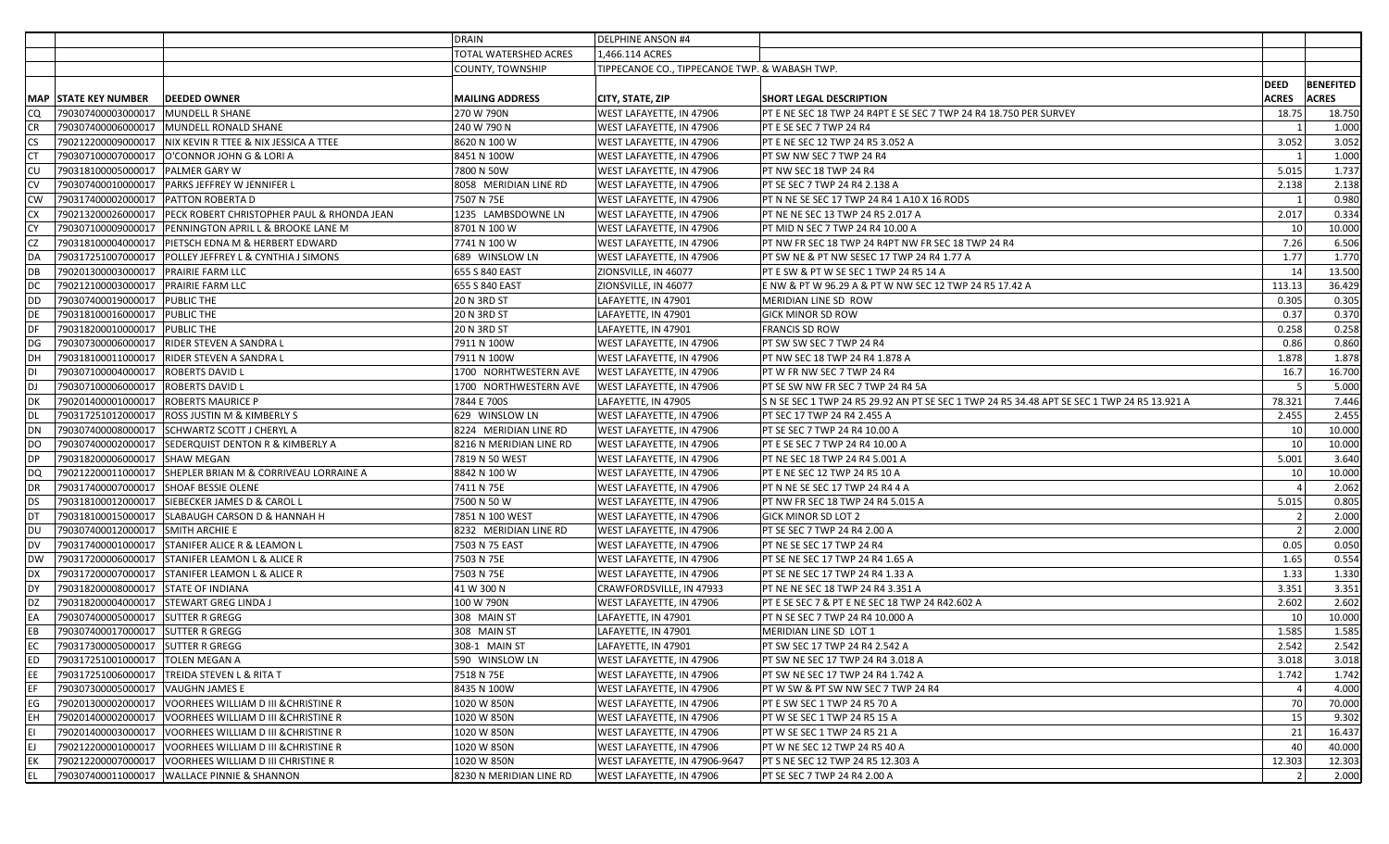|             |                                        |                                                               | <b>DRAIN</b>                 | <b>DELPHINE ANSON #4</b>                      |                                                                                             |                |              |                  |
|-------------|----------------------------------------|---------------------------------------------------------------|------------------------------|-----------------------------------------------|---------------------------------------------------------------------------------------------|----------------|--------------|------------------|
|             |                                        |                                                               | <b>TOTAL WATERSHED ACRES</b> | 1.466.114 ACRES                               |                                                                                             |                |              |                  |
|             |                                        |                                                               | <b>COUNTY, TOWNSHIP</b>      | TIPPECANOE CO., TIPPECANOE TWP. & WABASH TWP. |                                                                                             |                |              |                  |
|             |                                        |                                                               |                              |                                               |                                                                                             | <b>DEED</b>    |              | <b>BENEFITED</b> |
|             | MAP  STATE KEY NUMBER                  | <b>DEEDED OWNER</b>                                           | <b>MAILING ADDRESS</b>       | CITY, STATE, ZIP                              | <b>SHORT LEGAL DESCRIPTION</b>                                                              | <b>ACRES</b>   | <b>ACRES</b> |                  |
| CQ.         | 790307400003000017 MUNDELL R SHANE     |                                                               | 270 W 790N                   | <b>WEST LAFAYETTE, IN 47906</b>               | PT E NE SEC 18 TWP 24 R4PT E SE SEC 7 TWP 24 R4 18.750 PER SURVEY                           | 18.75          |              | 18.750           |
| ICR         |                                        | 790307400006000017 MUNDELL RONALD SHANE                       | 240 W 790 N                  | <b>WEST LAFAYETTE, IN 47906</b>               | PT E SE SEC 7 TWP 24 R4                                                                     |                |              | 1.000            |
| <b>CS</b>   |                                        | 790212200009000017   NIX KEVIN R TTEE & NIX JESSICA A TTEE    | 8620 N 100 W                 | WEST LAFAYETTE, IN 47906                      | PT E NE SEC 12 TWP 24 R5 3.052 A                                                            | 3.052          |              | 3.052            |
| ICT         |                                        | 790307100007000017   O'CONNOR JOHN G & LORI A                 | 8451 N 100W                  | <b>WEST LAFAYETTE, IN 47906</b>               | PT SW NW SEC 7 TWP 24 R4                                                                    |                |              | 1.000            |
| <b>CU</b>   | 790318100005000017 PALMER GARY W       |                                                               | 7800 N 50W                   | WEST LAFAYETTE, IN 47906                      | PT NW SEC 18 TWP 24 R4                                                                      | 5.015          |              | 1.737            |
| <b>ICV</b>  |                                        |                                                               | 8058 MERIDIAN LINE RD        | <b>WEST LAFAYETTE, IN 47906</b>               | PT SE SEC 7 TWP 24 R4 2.138 A                                                               | 2.138          |              | 2.138            |
| <b>CW</b>   |                                        |                                                               | 7507 N 75E                   | <b>WEST LAFAYETTE, IN 47906</b>               | PT N NE SE SEC 17 TWP 24 R4 1 A10 X 16 RODS                                                 | $\overline{1}$ |              | 0.980            |
| ICX         |                                        | 790213200026000017 PECK ROBERT CHRISTOPHER PAUL & RHONDA JEAN | 1235 LAMBSDOWNE LN           | <b>WEST LAFAYETTE, IN 47906</b>               | PT NE NE SEC 13 TWP 24 R5 2.017 A                                                           | 2.017          |              | 0.334            |
| <b>ICY</b>  |                                        | 790307100009000017 PENNINGTON APRIL L & BROOKE LANE M         | 8701 N 100 W                 | <b>WEST LAFAYETTE, IN 47906</b>               | PT MID N SEC 7 TWP 24 R4 10.00 A                                                            | 10             |              | 10.000           |
| ICZ         |                                        | 790318100004000017   PIETSCH EDNA M & HERBERT EDWARD          | 7741 N 100 W                 | WEST LAFAYETTE, IN 47906                      | PT NW FR SEC 18 TWP 24 R4PT NW FR SEC 18 TWP 24 R4                                          | 7.26           |              | 6.506            |
| DA          |                                        | 790317251007000017 POLLEY JEFFREY L & CYNTHIA J SIMONS        | 689 WINSLOW LN               | <b>WEST LAFAYETTE, IN 47906</b>               | PT SW NE & PT NW SESEC 17 TWP 24 R4 1.77 A                                                  | 1.77           |              | 1.770            |
| IDB         | 790201300003000017 PRAIRIE FARM LLC    |                                                               | 655 S 840 EAST               | ZIONSVILLE, IN 46077                          | PT E SW & PT W SE SEC 1 TWP 24 R5 14 A                                                      | 14             |              | 13.500           |
| DC          | 790212100003000017   PRAIRIE FARM LLC  |                                                               | 655 S 840 EAST               | ZIONSVILLE, IN 46077                          | E NW & PT W 96.29 A & PT W NW SEC 12 TWP 24 R5 17.42 A                                      | 113.13         |              | 36.429           |
| <b>DD</b>   | 790307400019000017 PUBLIC THE          |                                                               | <b>20 N 3RD ST</b>           | LAFAYETTE, IN 47901                           | MERIDIAN LINE SD ROW                                                                        | 0.305          |              | 0.305            |
| DE          | 790318100016000017 PUBLIC THE          |                                                               | <b>20 N 3RD ST</b>           | LAFAYETTE, IN 47901                           | <b>GICK MINOR SD ROW</b>                                                                    | 0.37           |              | 0.370            |
| <b>I</b> DF | 790318200010000017 PUBLIC THE          |                                                               | <b>20 N 3RD ST</b>           | LAFAYETTE, IN 47901                           | <b>FRANCIS SD ROW</b>                                                                       | 0.258          |              | 0.258            |
| DG          |                                        | 790307300006000017  RIDER STEVEN A SANDRA L                   | 7911 N 100W                  | WEST LAFAYETTE, IN 47906                      | PT SW SW SEC 7 TWP 24 R4                                                                    | 0.86           |              | 0.860            |
| IDH         |                                        | 790318100011000017   RIDER STEVEN A SANDRA L                  | 7911 N 100W                  | WEST LAFAYETTE, IN 47906                      | PT NW SEC 18 TWP 24 R4 1.878 A                                                              | 1.878          |              | 1.878            |
| <b>DI</b>   | 790307100004000017   ROBERTS DAVID L   |                                                               | 1700 NORHTWESTERN AVE        | <b>WEST LAFAYETTE, IN 47906</b>               | PT W FR NW SEC 7 TWP 24 R4                                                                  | 16.7           |              | 16.700           |
| IDJ         | 790307100006000017 ROBERTS DAVID L     |                                                               | 1700 NORTHWESTERN AVE        | <b>WEST LAFAYETTE, IN 47906</b>               | PT SE SW NW FR SEC 7 TWP 24 R4 5A                                                           | - 5            |              | 5.000            |
| <b>DK</b>   | 790201400001000017   ROBERTS MAURICE P |                                                               | 7844 E 700S                  | LAFAYETTE, IN 47905                           | S N SE SEC 1 TWP 24 R5 29.92 AN PT SE SEC 1 TWP 24 R5 34.48 APT SE SEC 1 TWP 24 R5 13.921 A | 78.321         |              | 7.446            |
| DL          |                                        | 790317251012000017   ROSS JUSTIN M & KIMBERLY S               | 629 WINSLOW LN               | <b>WEST LAFAYETTE, IN 47906</b>               | PT SEC 17 TWP 24 R4 2.455 A                                                                 | 2.455          |              | 2.455            |
| DN          |                                        | 790307400008000017   SCHWARTZ SCOTT J CHERYL A                | 8224 MERIDIAN LINE RD        | <b>WEST LAFAYETTE, IN 47906</b>               | PT SE SEC 7 TWP 24 R4 10.00 A                                                               | 10             |              | 10.000           |
| DO.         |                                        | 790307400002000017 SEDERQUIST DENTON R & KIMBERLY A           | 8216 N MERIDIAN LINE RD      | <b>WEST LAFAYETTE, IN 47906</b>               | PT E SE SEC 7 TWP 24 R4 10.00 A                                                             | 10             |              | 10.000           |
| IDP         | 790318200006000017 SHAW MEGAN          |                                                               | 7819 N 50 WEST               | <b>WEST LAFAYETTE, IN 47906</b>               | PT NE SEC 18 TWP 24 R4 5.001 A                                                              | 5.001          |              | 3.640            |
| <b>DQ</b>   |                                        | 790212200011000017 SHEPLER BRIAN M & CORRIVEAU LORRAINE A     | 8842 N 100 W                 | <b>WEST LAFAYETTE, IN 47906</b>               | PT E NE SEC 12 TWP 24 R5 10 A                                                               | 10             |              | 10.000           |
| <b>IDR</b>  | 790317400007000017 SHOAF BESSIE OLENE  |                                                               | 7411 N 75E                   | <b>WEST LAFAYETTE, IN 47906</b>               | PT N NE SE SEC 17 TWP 24 R4 4 A                                                             |                |              | 2.062            |
| DS          |                                        | 790318100012000017 SIEBECKER JAMES D & CAROL L                | 7500 N 50 W                  | <b>WEST LAFAYETTE, IN 47906</b>               | PT NW FR SEC 18 TWP 24 R4 5.015 A                                                           | 5.015          |              | 0.805            |
| Idt         |                                        | 790318100015000017   SLABAUGH CARSON D & HANNAH H             | 7851 N 100 WEST              | <b>WEST LAFAYETTE, IN 47906</b>               | GICK MINOR SD LOT 2                                                                         | $\mathcal{L}$  |              | 2.000            |
| IDU.        | 790307400012000017 SMITH ARCHIE E      |                                                               | 8232 MERIDIAN LINE RD        | WEST LAFAYETTE, IN 47906                      | PT SE SEC 7 TWP 24 R4 2.00 A                                                                | $\overline{2}$ |              | 2.000            |
| DV          |                                        | 790317400001000017 STANIFER ALICE R & LEAMON L                | 7503 N 75 EAST               | <b>WEST LAFAYETTE, IN 47906</b>               | PT NE SE SEC 17 TWP 24 R4                                                                   | 0.05           |              | 0.050            |
| <b>DW</b>   |                                        | 790317200006000017 STANIFER LEAMON L & ALICE R                | 7503 N 75E                   | <b>WEST LAFAYETTE, IN 47906</b>               | PT SE NE SEC 17 TWP 24 R4 1.65 A                                                            | 1.65           |              | 0.554            |
| <b>I</b> DX |                                        | 790317200007000017 STANIFER LEAMON L & ALICE R                | 7503 N 75E                   | <b>WEST LAFAYETTE, IN 47906</b>               | PT SE NE SEC 17 TWP 24 R4 1.33 A                                                            | 1.33           |              | 1.330            |
| IDY         | 790318200008000017 STATE OF INDIANA    |                                                               | 41 W 300 N                   | CRAWFORDSVILLE, IN 47933                      | PT NE NE SEC 18 TWP 24 R4 3.351 A                                                           | 3.351          |              | 3.351            |
| DZ          |                                        | 790318200004000017 STEWART GREG LINDA J                       | 100 W 790N                   | <b>WEST LAFAYETTE, IN 47906</b>               | PT E SE SEC 7 & PT E NE SEC 18 TWP 24 R42.602 A                                             | 2.602          |              | 2.602            |
| EA          | 790307400005000017 SUTTER R GREGG      |                                                               | 308 MAIN ST                  | LAFAYETTE, IN 47901                           | PT N SE SEC 7 TWP 24 R4 10.000 A                                                            | 10             |              | 10.000           |
| EB          | 790307400017000017 SUTTER R GREGG      |                                                               | 308 MAIN ST                  | LAFAYETTE, IN 47901                           | MERIDIAN LINE SD LOT 1                                                                      | 1.585          |              | 1.585            |
| EC          | 790317300005000017 SUTTER R GREGG      |                                                               | 308-1 MAIN ST                | LAFAYETTE, IN 47901                           | PT SW SEC 17 TWP 24 R4 2.542 A                                                              | 2.542          |              | 2.542            |
| <b>IED</b>  | 790317251001000017   TOLEN MEGAN A     |                                                               | 590 WINSLOW LN               | <b>WEST LAFAYETTE, IN 47906</b>               | PT SW NE SEC 17 TWP 24 R4 3.018 A                                                           | 3.018          |              | 3.018            |
| EE          |                                        | 790317251006000017   TREIDA STEVEN L & RITA T                 | 7518 N 75E                   | <b>WEST LAFAYETTE, IN 47906</b>               | PT SW NE SEC 17 TWP 24 R4 1.742 A                                                           | 1.742          |              | 1.742            |
| EF          | 790307300005000017 VAUGHN JAMES E      |                                                               | 8435 N 100W                  | WEST LAFAYETTE, IN 47906                      | PT W SW & PT SW NW SEC 7 TWP 24 R4                                                          | $\overline{4}$ |              | 4.000            |
| <b>I</b> EG |                                        | 790201300002000017 VOORHEES WILLIAM D III & CHRISTINE R       | 1020 W 850N                  | <b>WEST LAFAYETTE, IN 47906</b>               | PT E SW SEC 1 TWP 24 R5 70 A                                                                | 70             |              | 70.000           |
| <b>IEH</b>  |                                        | 790201400002000017 VOORHEES WILLIAM D III & CHRISTINE R       | 1020 W 850N                  | <b>WEST LAFAYETTE, IN 47906</b>               | PT W SE SEC 1 TWP 24 R5 15 A                                                                | 15             |              | 9.302            |
| lει         |                                        | 790201400003000017 VOORHEES WILLIAM D III & CHRISTINE R       | 1020 W 850N                  | <b>WEST LAFAYETTE, IN 47906</b>               | PT W SE SEC 1 TWP 24 R5 21 A                                                                | 21             |              | 16.437           |
| lEJ.        |                                        | 790212200001000017 VOORHEES WILLIAM D III & CHRISTINE R       | 1020 W 850N                  | WEST LAFAYETTE, IN 47906                      | PT W NE SEC 12 TWP 24 R5 40 A                                                               | 40             |              | 40.000           |
| <b>EK</b>   |                                        | 790212200007000017 VOORHEES WILLIAM D III CHRISTINE R         | 1020 W 850N                  | WEST LAFAYETTE, IN 47906-9647                 | PT S NE SEC 12 TWP 24 R5 12.303 A                                                           | 12.303         |              | 12.303           |
| EL          |                                        | 790307400011000017 WALLACE PINNIE & SHANNON                   | 8230 N MERIDIAN LINE RD      | WEST LAFAYETTE, IN 47906                      | PT SE SEC 7 TWP 24 R4 2.00 A                                                                |                |              | 2.000            |